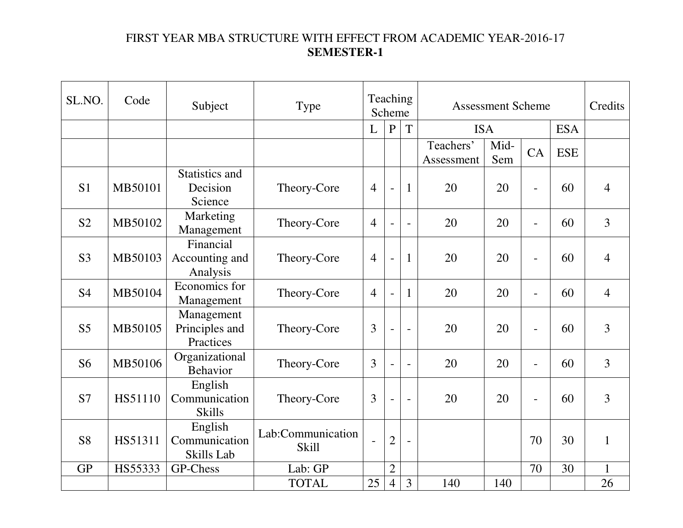# FIRST YEAR MBA STRUCTURE WITH EFFECT FROM ACADEMIC YEAR-2016-17 **SEMESTER-1**

| SL.NO.         | Code    | Subject                                       | <b>Type</b>                       | <b>Teaching</b><br>Scheme |                          |                          | <b>Assessment Scheme</b> |             |                          |            | Credits        |
|----------------|---------|-----------------------------------------------|-----------------------------------|---------------------------|--------------------------|--------------------------|--------------------------|-------------|--------------------------|------------|----------------|
|                |         |                                               |                                   | L                         | ${\bf P}$                | T                        | <b>ISA</b>               |             | <b>ESA</b>               |            |                |
|                |         |                                               |                                   |                           |                          |                          | Teachers'<br>Assessment  | Mid-<br>Sem | CA                       | <b>ESE</b> |                |
| S <sub>1</sub> | MB50101 | <b>Statistics and</b><br>Decision<br>Science  | Theory-Core                       | $\overline{4}$            | $\blacksquare$           | 1                        | 20                       | 20          | $\overline{\phantom{a}}$ | 60         | $\overline{4}$ |
| S <sub>2</sub> | MB50102 | Marketing<br>Management                       | Theory-Core                       | $\overline{4}$            | $\blacksquare$           | $\overline{\phantom{0}}$ | 20                       | 20          | $\blacksquare$           | 60         | $\overline{3}$ |
| S <sub>3</sub> | MB50103 | Financial<br>Accounting and<br>Analysis       | Theory-Core                       | $\overline{4}$            | $\bar{\phantom{a}}$      | $\mathbf{1}$             | 20                       | 20          | $\blacksquare$           | 60         | $\overline{4}$ |
| <b>S4</b>      | MB50104 | Economics for<br>Management                   | Theory-Core                       | $\overline{4}$            | $\overline{\phantom{a}}$ | 1                        | 20                       | 20          | $\overline{\phantom{a}}$ | 60         | $\overline{4}$ |
| S <sub>5</sub> | MB50105 | Management<br>Principles and<br>Practices     | Theory-Core                       | 3                         | $\blacksquare$           | $\overline{\phantom{a}}$ | 20                       | 20          | $\blacksquare$           | 60         | $\overline{3}$ |
| S <sub>6</sub> | MB50106 | Organizational<br><b>Behavior</b>             | Theory-Core                       | 3                         | $\overline{a}$           | $\overline{\phantom{0}}$ | 20                       | 20          | $\blacksquare$           | 60         | 3              |
| S7             | HS51110 | English<br>Communication<br><b>Skills</b>     | Theory-Core                       | 3                         | $\overline{\phantom{a}}$ | $\overline{\phantom{0}}$ | 20                       | 20          | $\blacksquare$           | 60         | $\overline{3}$ |
| <b>S8</b>      | HS51311 | English<br>Communication<br><b>Skills Lab</b> | Lab:Communication<br><b>Skill</b> |                           | $\overline{2}$           | ÷,                       |                          |             | 70                       | 30         | $\mathbf{1}$   |
| <b>GP</b>      | HS55333 | GP-Chess                                      | Lab: GP                           |                           | $\overline{2}$           |                          |                          |             | 70                       | 30         | $\mathbf{1}$   |
|                |         |                                               | <b>TOTAL</b>                      | 25                        | $\overline{4}$           | 3                        | 140                      | 140         |                          |            | 26             |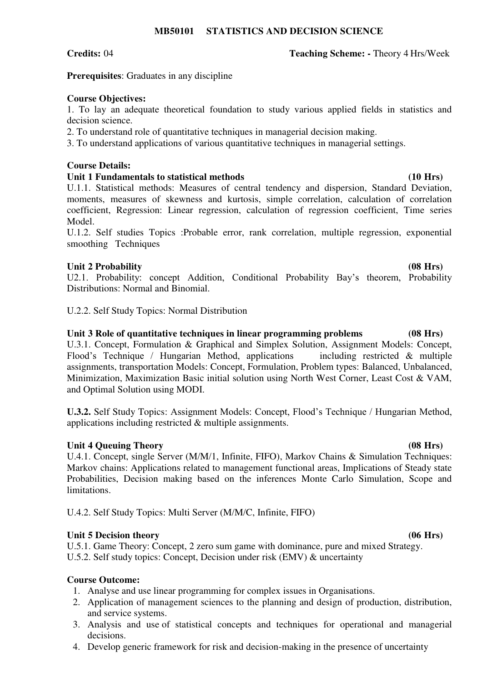# **Credits:** 04 **Teaching Scheme: -** Theory 4 Hrs/Week

**Prerequisites**: Graduates in any discipline

# **Course Objectives:**

1. To lay an adequate theoretical foundation to study various applied fields in statistics and decision science.

2. To understand role of quantitative techniques in managerial decision making.

3. To understand applications of various quantitative techniques in managerial settings.

# **Course Details:**

# **Unit 1 Fundamentals to statistical methods (10 Hrs)**

U.1.1. Statistical methods: Measures of central tendency and dispersion, Standard Deviation, moments, measures of skewness and kurtosis, simple correlation, calculation of correlation coefficient, Regression: Linear regression, calculation of regression coefficient, Time series Model.

U.1.2. Self studies Topics :Probable error, rank correlation, multiple regression, exponential smoothing Techniques

# Unit 2 Probability (08 Hrs)

U2.1. Probability: concept Addition, Conditional Probability Bay's theorem, Probability Distributions: Normal and Binomial.

U.2.2. Self Study Topics: Normal Distribution

# **Unit 3 Role of quantitative techniques in linear programming problems (08 Hrs)**

U.3.1. Concept, Formulation & Graphical and Simplex Solution, Assignment Models: Concept, Flood's Technique / Hungarian Method, applications including restricted & multiple assignments, transportation Models: Concept, Formulation, Problem types: Balanced, Unbalanced, Minimization, Maximization Basic initial solution using North West Corner, Least Cost & VAM, and Optimal Solution using MODI.

**U.3.2.** Self Study Topics: Assignment Models: Concept, Flood's Technique / Hungarian Method, applications including restricted & multiple assignments.

# Unit 4 Queuing Theory (08 Hrs)

U.4.1. Concept, single Server (M/M/1, Infinite, FIFO), Markov Chains & Simulation Techniques: Markov chains: Applications related to management functional areas, Implications of Steady state Probabilities, Decision making based on the inferences Monte Carlo Simulation, Scope and limitations.

U.4.2. Self Study Topics: Multi Server (M/M/C, Infinite, FIFO)

# Unit 5 Decision theory (06 Hrs)

U.5.1. Game Theory: Concept, 2 zero sum game with dominance, pure and mixed Strategy. U.5.2. Self study topics: Concept, Decision under risk (EMV) & uncertainty

# **Course Outcome:**

- 1. Analyse and use linear programming for complex issues in Organisations.
- 2. Application of management sciences to the planning and design of production, distribution, and service systems.
- 3. Analysis and use of statistical concepts and techniques for operational and managerial decisions.
- 4. Develop generic framework for risk and decision-making in the presence of uncertainty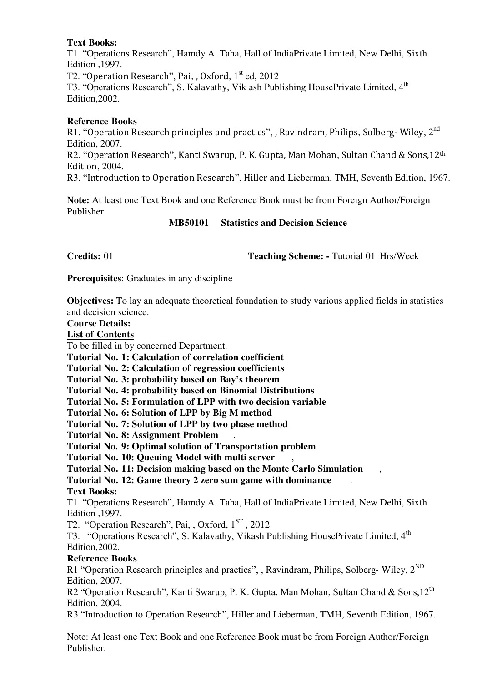# **Text Books:**

T1. "Operations Research", Hamdy A. Taha, Hall of IndiaPrivate Limited, New Delhi, Sixth Edition ,1997.

T2. "Operation Research", Pai, , Oxford,  $1<sup>st</sup>$  ed, 2012

T3. "Operations Research", S. Kalavathy, Vik ash Publishing HousePrivate Limited, 4<sup>th</sup> Edition,2002.

# **Reference Books**

R1. "Operation Research principles and practics", , Ravindram, Philips, Solberg-Wiley, 2<sup>nd</sup> Edition, 2007.

R2. "Operation Research", Kanti Swarup, P. K. Gupta, Man Mohan, Sultan Chand & Sons,12th Edition, 2004.

R3. "Introduction to Operation Research", Hiller and Lieberman, TMH, Seventh Edition, 1967.

**Note:** At least one Text Book and one Reference Book must be from Foreign Author/Foreign Publisher.

# **MB50101 Statistics and Decision Science**

**Credits:** 01 **Teaching Scheme:** - Tutorial 01 Hrs/Week

**Prerequisites**: Graduates in any discipline

**Objectives:** To lay an adequate theoretical foundation to study various applied fields in statistics and decision science.

### **Course Details:**

**List of Contents**

To be filled in by concerned Department.

**Tutorial No. 1: Calculation of correlation coefficient** 

**Tutorial No. 2: Calculation of regression coefficients** 

**Tutorial No. 3: probability based on Bay's theorem**

**Tutorial No. 4: probability based on Binomial Distributions** 

**Tutorial No. 5: Formulation of LPP with two decision variable** 

**Tutorial No. 6: Solution of LPP by Big M method** 

**Tutorial No. 7: Solution of LPP by two phase method** 

**Tutorial No. 8: Assignment Problem** .

**Tutorial No. 9: Optimal solution of Transportation problem** 

**Tutorial No. 10: Queuing Model with multi server** ,

**Tutorial No. 11: Decision making based on the Monte Carlo Simulation** ,

**Tutorial No. 12: Game theory 2 zero sum game with dominance** .

# **Text Books:**

T1. "Operations Research", Hamdy A. Taha, Hall of IndiaPrivate Limited, New Delhi, Sixth Edition ,1997.

T2. "Operation Research", Pai, , Oxford, 1<sup>ST</sup>, 2012

T3. "Operations Research", S. Kalavathy, Vikash Publishing HousePrivate Limited, 4<sup>th</sup> Edition,2002.

# **Reference Books**

R1 "Operation Research principles and practics", , Ravindram, Philips, Solberg-Wiley,  $2^{ND}$ Edition, 2007.

R2 "Operation Research", Kanti Swarup, P. K. Gupta, Man Mohan, Sultan Chand & Sons, 12<sup>th</sup> Edition, 2004.

R3 "Introduction to Operation Research", Hiller and Lieberman, TMH, Seventh Edition, 1967.

Note: At least one Text Book and one Reference Book must be from Foreign Author/Foreign Publisher.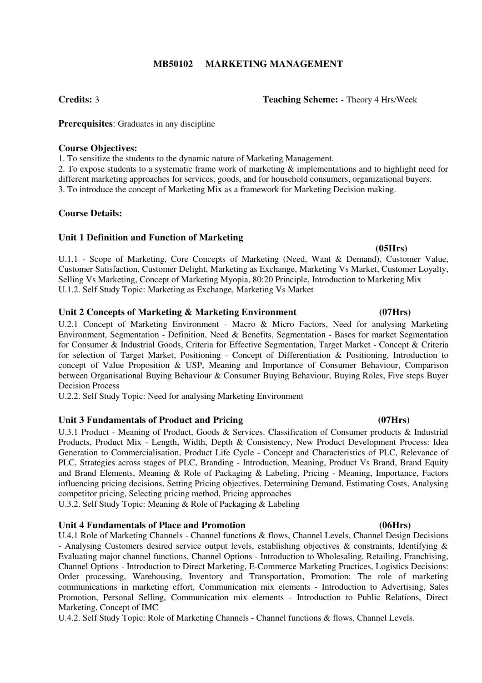# **MB50102 MARKETING MANAGEMENT**

**Prerequisites**: Graduates in any discipline

### **Course Objectives:**

1. To sensitize the students to the dynamic nature of Marketing Management.

2. To expose students to a systematic frame work of marketing & implementations and to highlight need for different marketing approaches for services, goods, and for household consumers, organizational buyers. 3. To introduce the concept of Marketing Mix as a framework for Marketing Decision making.

# **Course Details:**

# **Unit 1 Definition and Function of Marketing**

U.1.1 - Scope of Marketing, Core Concepts of Marketing (Need, Want & Demand), Customer Value, Customer Satisfaction, Customer Delight, Marketing as Exchange, Marketing Vs Market, Customer Loyalty, Selling Vs Marketing, Concept of Marketing Myopia, 80:20 Principle, Introduction to Marketing Mix U.1.2. Self Study Topic: Marketing as Exchange, Marketing Vs Market

### **Unit 2 Concepts of Marketing & Marketing Environment (07Hrs)**

U.2.1 Concept of Marketing Environment - Macro & Micro Factors, Need for analysing Marketing Environment, Segmentation - Definition, Need & Benefits, Segmentation - Bases for market Segmentation for Consumer & Industrial Goods, Criteria for Effective Segmentation, Target Market - Concept & Criteria for selection of Target Market, Positioning - Concept of Differentiation & Positioning, Introduction to concept of Value Proposition & USP, Meaning and Importance of Consumer Behaviour, Comparison between Organisational Buying Behaviour & Consumer Buying Behaviour, Buying Roles, Five steps Buyer Decision Process

U.2.2. Self Study Topic: Need for analysing Marketing Environment

# Unit 3 Fundamentals of Product and Pricing **1996 1997 1997 1998 1997 1998 1998 1999 1999 1999 1999 1999 1999 1999 1999 1999 1999 1999 1999 1999 1999 1999 1999 1999 1999 199**

U.3.1 Product - Meaning of Product, Goods & Services. Classification of Consumer products & Industrial Products, Product Mix - Length, Width, Depth & Consistency, New Product Development Process: Idea Generation to Commercialisation, Product Life Cycle - Concept and Characteristics of PLC, Relevance of PLC, Strategies across stages of PLC, Branding - Introduction, Meaning, Product Vs Brand, Brand Equity and Brand Elements, Meaning & Role of Packaging & Labeling, Pricing - Meaning, Importance, Factors influencing pricing decisions, Setting Pricing objectives, Determining Demand, Estimating Costs, Analysing competitor pricing, Selecting pricing method, Pricing approaches

U.3.2. Self Study Topic: Meaning & Role of Packaging & Labeling

#### **Unit 4 Fundamentals of Place and Promotion (06Hrs)**

U.4.1 Role of Marketing Channels - Channel functions & flows, Channel Levels, Channel Design Decisions - Analysing Customers desired service output levels, establishing objectives & constraints, Identifying & Evaluating major channel functions, Channel Options - Introduction to Wholesaling, Retailing, Franchising, Channel Options - Introduction to Direct Marketing, E-Commerce Marketing Practices, Logistics Decisions: Order processing, Warehousing, Inventory and Transportation, Promotion: The role of marketing communications in marketing effort, Communication mix elements - Introduction to Advertising, Sales Promotion, Personal Selling, Communication mix elements - Introduction to Public Relations, Direct Marketing, Concept of IMC

U.4.2. Self Study Topic: Role of Marketing Channels - Channel functions & flows, Channel Levels.

### **Credits:** 3 **Teaching Scheme: -** Theory 4 Hrs/Week

# **(05Hrs)**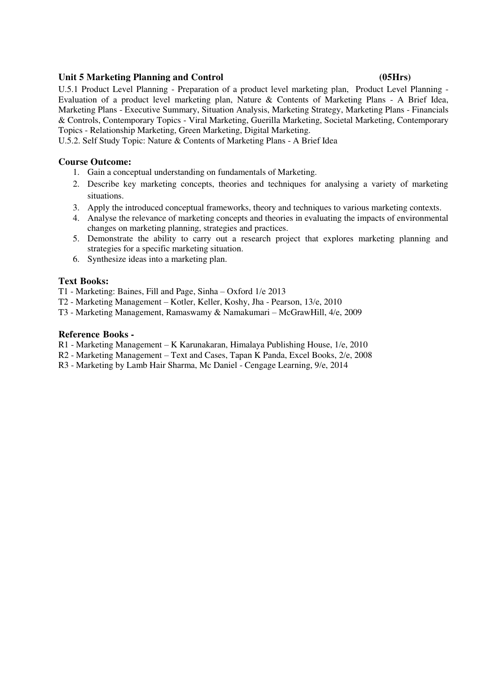### Unit 5 Marketing Planning and Control (05Hrs)

U.5.1 Product Level Planning - Preparation of a product level marketing plan, Product Level Planning - Evaluation of a product level marketing plan, Nature & Contents of Marketing Plans - A Brief Idea, Marketing Plans - Executive Summary, Situation Analysis, Marketing Strategy, Marketing Plans - Financials & Controls, Contemporary Topics - Viral Marketing, Guerilla Marketing, Societal Marketing, Contemporary Topics - Relationship Marketing, Green Marketing, Digital Marketing.

U.5.2. Self Study Topic: Nature & Contents of Marketing Plans - A Brief Idea

### **Course Outcome:**

- 1. Gain a conceptual understanding on fundamentals of Marketing.
- 2. Describe key marketing concepts, theories and techniques for analysing a variety of marketing situations.
- 3. Apply the introduced conceptual frameworks, theory and techniques to various marketing contexts.
- 4. Analyse the relevance of marketing concepts and theories in evaluating the impacts of environmental changes on marketing planning, strategies and practices.
- 5. Demonstrate the ability to carry out a research project that explores marketing planning and strategies for a specific marketing situation.
- 6. Synthesize ideas into a marketing plan.

### **Text Books:**

T1 - Marketing: Baines, Fill and Page, Sinha – Oxford 1/e 2013

- T2 Marketing Management Kotler, Keller, Koshy, Jha Pearson, 13/e, 2010
- T3 Marketing Management, Ramaswamy & Namakumari McGrawHill, 4/e, 2009

- R1 Marketing Management K Karunakaran, Himalaya Publishing House, 1/e, 2010
- R2 Marketing Management Text and Cases, Tapan K Panda, Excel Books, 2/e, 2008
- R3 Marketing by Lamb Hair Sharma, Mc Daniel Cengage Learning, 9/e, 2014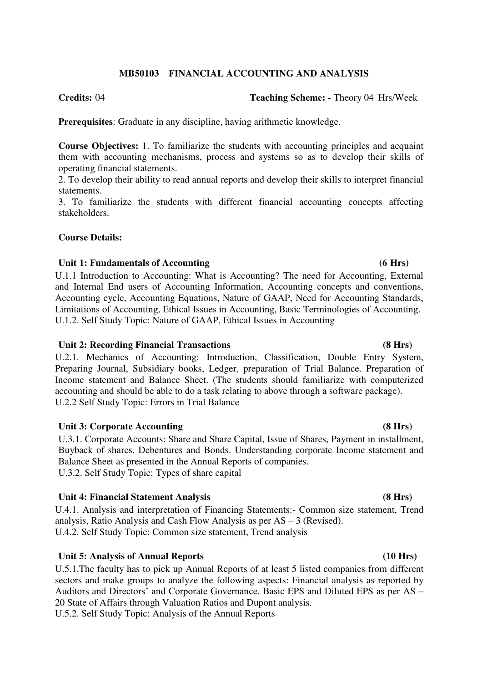# **MB50103 FINANCIAL ACCOUNTING AND ANALYSIS**

**Credits:** 04 **Teaching Scheme: -** Theory 04 Hrs/Week

**Prerequisites**: Graduate in any discipline, having arithmetic knowledge.

**Course Objectives:** 1. To familiarize the students with accounting principles and acquaint them with accounting mechanisms, process and systems so as to develop their skills of operating financial statements.

2. To develop their ability to read annual reports and develop their skills to interpret financial statements.

3. To familiarize the students with different financial accounting concepts affecting stakeholders.

# **Course Details:**

# **Unit 1: Fundamentals of Accounting (6 Hrs)**

U.1.1 Introduction to Accounting: What is Accounting? The need for Accounting, External and Internal End users of Accounting Information, Accounting concepts and conventions, Accounting cycle, Accounting Equations, Nature of GAAP, Need for Accounting Standards, Limitations of Accounting, Ethical Issues in Accounting, Basic Terminologies of Accounting. U.1.2. Self Study Topic: Nature of GAAP, Ethical Issues in Accounting

# **Unit 2: Recording Financial Transactions (8 Hrs)**

U.2.1. Mechanics of Accounting: Introduction, Classification, Double Entry System, Preparing Journal, Subsidiary books, Ledger, preparation of Trial Balance. Preparation of Income statement and Balance Sheet. (The students should familiarize with computerized accounting and should be able to do a task relating to above through a software package). U.2.2 Self Study Topic: Errors in Trial Balance

# Unit 3: Corporate Accounting (8 Hrs)

U.3.1. Corporate Accounts: Share and Share Capital, Issue of Shares, Payment in installment, Buyback of shares, Debentures and Bonds. Understanding corporate Income statement and Balance Sheet as presented in the Annual Reports of companies. U.3.2. Self Study Topic: Types of share capital

# Unit 4: Financial Statement Analysis *(8 Hrs)*

U.4.1. Analysis and interpretation of Financing Statements:- Common size statement, Trend analysis, Ratio Analysis and Cash Flow Analysis as per AS – 3 (Revised). U.4.2. Self Study Topic: Common size statement, Trend analysis

# Unit 5: Analysis of Annual Reports (10 Hrs)

U.5.1.The faculty has to pick up Annual Reports of at least 5 listed companies from different sectors and make groups to analyze the following aspects: Financial analysis as reported by Auditors and Directors' and Corporate Governance. Basic EPS and Diluted EPS as per AS – 20 State of Affairs through Valuation Ratios and Dupont analysis.

U.5.2. Self Study Topic: Analysis of the Annual Reports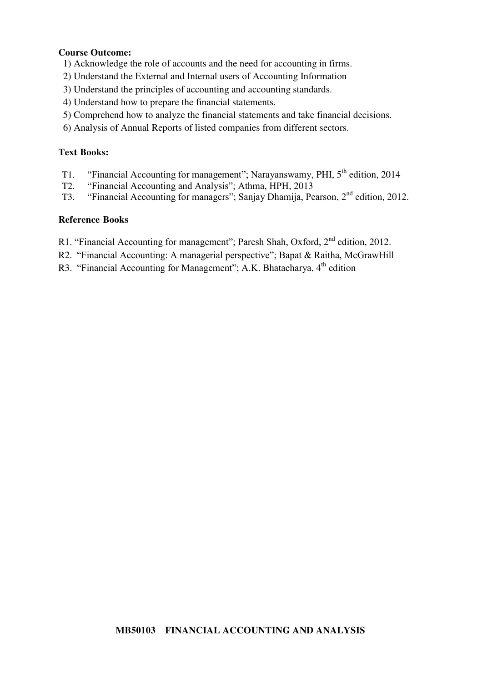# **Course Outcome:**

- 1) Acknowledge the role of accounts and the need for accounting in firms.
- 2) Understand the External and Internal users of Accounting Information
- 3) Understand the principles of accounting and accounting standards.
- 4) Understand how to prepare the financial statements.
- 5) Comprehend how to analyze the financial statements and take financial decisions.
- 6) Analysis of Annual Reports of listed companies from different sectors.

# **Text Books:**

- T1. "Financial Accounting for management"; Narayanswamy, PHI,  $5<sup>th</sup>$  edition, 2014<br>T2. "Financial Accounting and Analysis": Athma, HPH, 2013
- "Financial Accounting and Analysis"; Athma, HPH, 2013
- T3. "Financial Accounting for managers"; Sanjay Dhamija, Pearson, 2nd edition, 2012.

- R1. "Financial Accounting for management"; Paresh Shah, Oxford, 2<sup>nd</sup> edition, 2012.
- R2. "Financial Accounting: A managerial perspective"; Bapat & Raitha, McGrawHill
- R3. "Financial Accounting for Management"; A.K. Bhatacharya,  $4<sup>th</sup>$  edition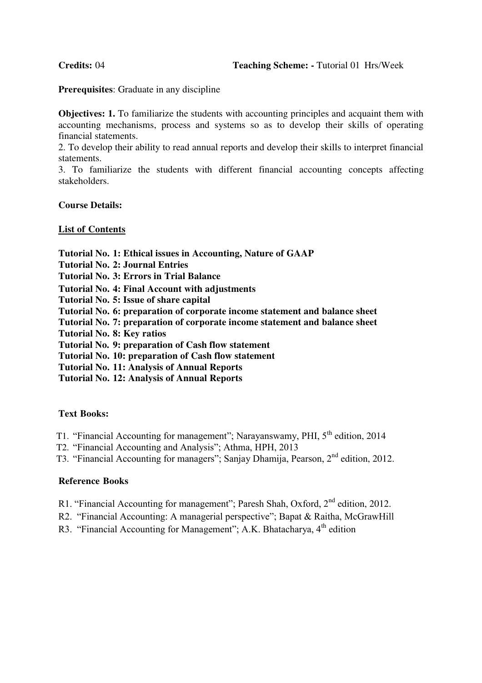**Prerequisites**: Graduate in any discipline

**Objectives: 1.** To familiarize the students with accounting principles and acquaint them with accounting mechanisms, process and systems so as to develop their skills of operating financial statements.

2. To develop their ability to read annual reports and develop their skills to interpret financial statements.

3. To familiarize the students with different financial accounting concepts affecting stakeholders.

### **Course Details:**

### **List of Contents**

**Tutorial No. 1: Ethical issues in Accounting, Nature of GAAP**

- **Tutorial No. 2: Journal Entries**
- **Tutorial No. 3: Errors in Trial Balance**
- **Tutorial No. 4: Final Account with adjustments**
- **Tutorial No. 5: Issue of share capital**
- **Tutorial No. 6: preparation of corporate income statement and balance sheet**
- **Tutorial No. 7: preparation of corporate income statement and balance sheet**
- **Tutorial No. 8: Key ratios**
- **Tutorial No. 9: preparation of Cash flow statement**
- **Tutorial No. 10: preparation of Cash flow statement**
- **Tutorial No. 11: Analysis of Annual Reports**
- **Tutorial No. 12: Analysis of Annual Reports**

#### **Text Books:**

- T1. "Financial Accounting for management"; Narayanswamy, PHI, 5<sup>th</sup> edition, 2014
- T2. "Financial Accounting and Analysis"; Athma, HPH, 2013
- T3. "Financial Accounting for managers"; Sanjay Dhamija, Pearson, 2nd edition, 2012.

- R1. "Financial Accounting for management"; Paresh Shah, Oxford,  $2<sup>nd</sup>$  edition, 2012.
- R2. "Financial Accounting: A managerial perspective"; Bapat & Raitha, McGrawHill
- R3. "Financial Accounting for Management"; A.K. Bhatacharya,  $4<sup>th</sup>$  edition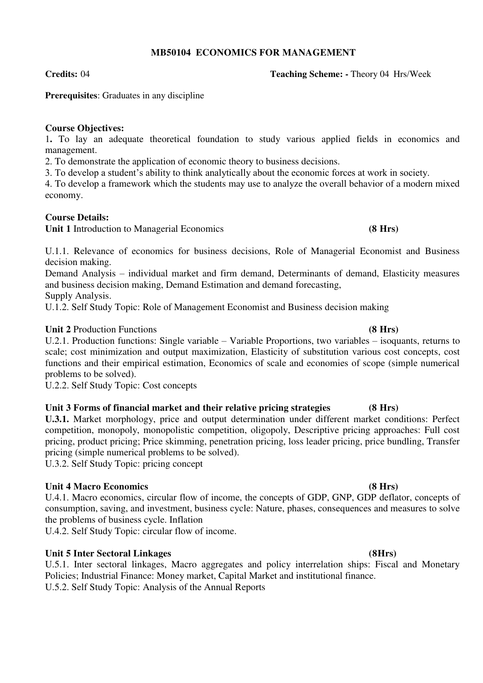# **MB50104 ECONOMICS FOR MANAGEMENT**

**Credits:** 04 **Teaching Scheme: -** Theory 04 Hrs/Week

# **Prerequisites**: Graduates in any discipline

# **Course Objectives:**

1**.** To lay an adequate theoretical foundation to study various applied fields in economics and management.

2. To demonstrate the application of economic theory to business decisions.

3. To develop a student's ability to think analytically about the economic forces at work in society.

4. To develop a framework which the students may use to analyze the overall behavior of a modern mixed economy.

# **Course Details:**

**Unit 1** Introduction to Managerial Economics **(8 Hrs)**

U.1.1. Relevance of economics for business decisions, Role of Managerial Economist and Business decision making.

Demand Analysis – individual market and firm demand, Determinants of demand, Elasticity measures and business decision making, Demand Estimation and demand forecasting,

Supply Analysis.

U.1.2. Self Study Topic: Role of Management Economist and Business decision making

# **Unit 2** Production Functions **(8 Hrs)**

U.2.1. Production functions: Single variable – Variable Proportions, two variables – isoquants, returns to scale; cost minimization and output maximization, Elasticity of substitution various cost concepts, cost functions and their empirical estimation, Economics of scale and economies of scope (simple numerical problems to be solved).

U.2.2. Self Study Topic: Cost concepts

# **Unit 3 Forms of financial market and their relative pricing strategies (8 Hrs)**

**U.3.1.** Market morphology, price and output determination under different market conditions: Perfect competition, monopoly, monopolistic competition, oligopoly, Descriptive pricing approaches: Full cost pricing, product pricing; Price skimming, penetration pricing, loss leader pricing, price bundling, Transfer pricing (simple numerical problems to be solved).

U.3.2. Self Study Topic: pricing concept

# **Unit 4 Macro Economics (8 Hrs)**

U.4.1. Macro economics, circular flow of income, the concepts of GDP, GNP, GDP deflator, concepts of consumption, saving, and investment, business cycle: Nature, phases, consequences and measures to solve the problems of business cycle. Inflation

U.4.2. Self Study Topic: circular flow of income.

# **Unit 5 Inter Sectoral Linkages (8Hrs)**

U.5.1. Inter sectoral linkages, Macro aggregates and policy interrelation ships: Fiscal and Monetary Policies; Industrial Finance: Money market, Capital Market and institutional finance. U.5.2. Self Study Topic: Analysis of the Annual Reports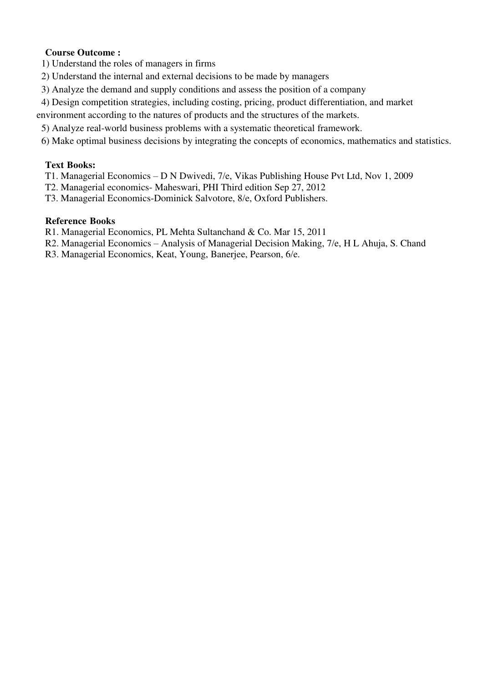# **Course Outcome :**

1) Understand the roles of managers in firms

- 2) Understand the internal and external decisions to be made by managers
- 3) Analyze the demand and supply conditions and assess the position of a company
- 4) Design competition strategies, including costing, pricing, product differentiation, and market

environment according to the natures of products and the structures of the markets.

- 5) Analyze real-world business problems with a systematic theoretical framework.
- 6) Make optimal business decisions by integrating the concepts of economics, mathematics and statistics.

# **Text Books:**

- T1. Managerial Economics D N Dwivedi, 7/e, Vikas Publishing House Pvt Ltd, Nov 1, 2009
- T2. Managerial economics- Maheswari, PHI Third edition Sep 27, 2012
- T3. Managerial Economics-Dominick Salvotore, 8/e, Oxford Publishers.

- R1. Managerial Economics, PL Mehta Sultanchand & Co. Mar 15, 2011
- R2. Managerial Economics Analysis of Managerial Decision Making, 7/e, H L Ahuja, S. Chand
- R3. Managerial Economics, Keat, Young, Banerjee, Pearson, 6/e.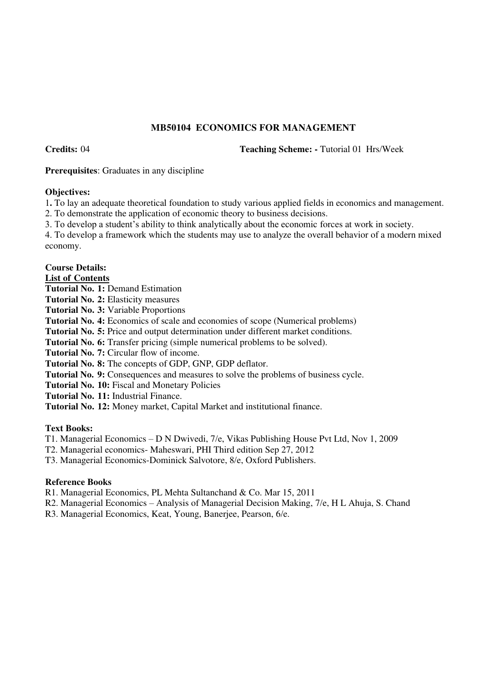# **MB50104 ECONOMICS FOR MANAGEMENT**

**Credits:** 04 **Teaching Scheme: -** Tutorial 01 Hrs/Week

**Prerequisites**: Graduates in any discipline

### **Objectives:**

1**.** To lay an adequate theoretical foundation to study various applied fields in economics and management.

2. To demonstrate the application of economic theory to business decisions.

3. To develop a student's ability to think analytically about the economic forces at work in society.

4. To develop a framework which the students may use to analyze the overall behavior of a modern mixed economy.

# **Course Details:**

**List of Contents**

**Tutorial No. 1:** Demand Estimation

**Tutorial No. 2:** Elasticity measures

**Tutorial No. 3:** Variable Proportions

**Tutorial No. 4:** Economics of scale and economies of scope (Numerical problems)

**Tutorial No. 5:** Price and output determination under different market conditions.

**Tutorial No. 6:** Transfer pricing (simple numerical problems to be solved).

**Tutorial No. 7:** Circular flow of income.

**Tutorial No. 8:** The concepts of GDP, GNP, GDP deflator.

**Tutorial No. 9:** Consequences and measures to solve the problems of business cycle.

**Tutorial No. 10:** Fiscal and Monetary Policies

**Tutorial No. 11:** Industrial Finance.

**Tutorial No. 12:** Money market, Capital Market and institutional finance.

#### **Text Books:**

T1. Managerial Economics – D N Dwivedi, 7/e, Vikas Publishing House Pvt Ltd, Nov 1, 2009

T2. Managerial economics- Maheswari, PHI Third edition Sep 27, 2012

T3. Managerial Economics-Dominick Salvotore, 8/e, Oxford Publishers.

# **Reference Books**

R1. Managerial Economics, PL Mehta Sultanchand & Co. Mar 15, 2011

R2. Managerial Economics – Analysis of Managerial Decision Making, 7/e, H L Ahuja, S. Chand

R3. Managerial Economics, Keat, Young, Banerjee, Pearson, 6/e.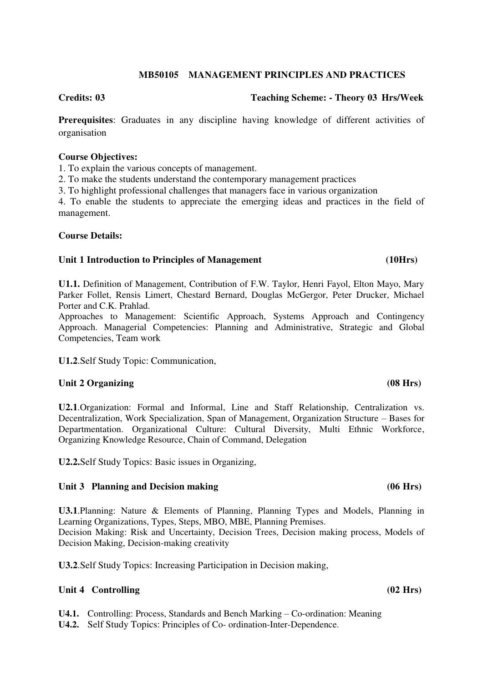### **MB50105 MANAGEMENT PRINCIPLES AND PRACTICES**

#### **Credits: 03 Teaching Scheme: - Theory 03 Hrs/Week**

**Prerequisites**: Graduates in any discipline having knowledge of different activities of organisation

#### **Course Objectives:**

1. To explain the various concepts of management.

2. To make the students understand the contemporary management practices

3. To highlight professional challenges that managers face in various organization

4. To enable the students to appreciate the emerging ideas and practices in the field of management.

### **Course Details:**

#### **Unit 1 Introduction to Principles of Management (10Hrs)**

**U1.1.** Definition of Management, Contribution of F.W. Taylor, Henri Fayol, Elton Mayo, Mary Parker Follet, Rensis Limert, Chestard Bernard, Douglas McGergor, Peter Drucker, Michael Porter and C.K. Prahlad.

Approaches to Management: Scientific Approach, Systems Approach and Contingency Approach. Managerial Competencies: Planning and Administrative, Strategic and Global Competencies, Team work

**U1.2**.Self Study Topic: Communication,

#### Unit 2 Organizing (08 Hrs)

**U2.1**.Organization: Formal and Informal, Line and Staff Relationship, Centralization vs. Decentralization, Work Specialization, Span of Management, Organization Structure – Bases for Departmentation. Organizational Culture: Cultural Diversity, Multi Ethnic Workforce, Organizing Knowledge Resource, Chain of Command, Delegation

**U2.2.**Self Study Topics: Basic issues in Organizing,

#### Unit 3 Planning and Decision making (06 Hrs)

**U3.1**.Planning: Nature & Elements of Planning, Planning Types and Models, Planning in Learning Organizations, Types, Steps, MBO, MBE, Planning Premises.

Decision Making: Risk and Uncertainty, Decision Trees, Decision making process, Models of Decision Making, Decision-making creativity

**U3.2**.Self Study Topics: Increasing Participation in Decision making,

### **Unit 4 Controlling (02 Hrs)**

**U4.1.** Controlling: Process, Standards and Bench Marking – Co-ordination: Meaning

**U4.2.** Self Study Topics: Principles of Co- ordination-Inter-Dependence.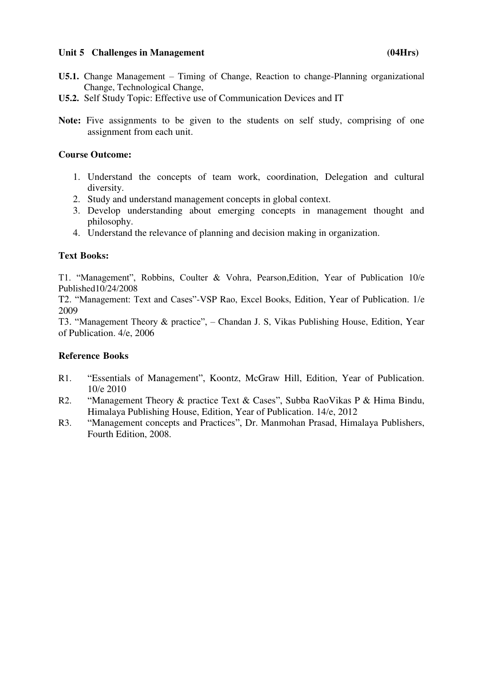# Unit 5 Challenges in Management (04Hrs)

- **U5.1.** Change Management Timing of Change, Reaction to change-Planning organizational Change, Technological Change,
- **U5.2.** Self Study Topic: Effective use of Communication Devices and IT
- **Note:** Five assignments to be given to the students on self study, comprising of one assignment from each unit.

# **Course Outcome:**

- 1. Understand the concepts of team work, coordination, Delegation and cultural diversity.
- 2. Study and understand management concepts in global context.
- 3. Develop understanding about emerging concepts in management thought and philosophy.
- 4. Understand the relevance of planning and decision making in organization.

# **Text Books:**

T1. "Management", Robbins, Coulter & Vohra, Pearson,Edition, Year of Publication 10/e Published10/24/2008

T2. "Management: Text and Cases"-VSP Rao, Excel Books, Edition, Year of Publication. 1/e 2009

T3. "Management Theory & practice", – Chandan J. S, Vikas Publishing House, Edition, Year of Publication. 4/e, 2006

- R1. "Essentials of Management", Koontz, McGraw Hill, Edition, Year of Publication. 10/e 2010
- R2. "Management Theory & practice Text & Cases", Subba RaoVikas P & Hima Bindu, Himalaya Publishing House, Edition, Year of Publication. 14/e, 2012
- R3. "Management concepts and Practices", Dr. Manmohan Prasad, Himalaya Publishers, Fourth Edition, 2008.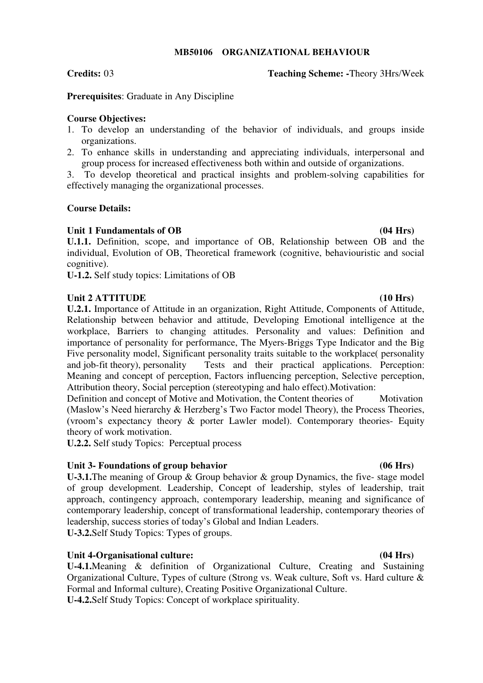### **MB50106 ORGANIZATIONAL BEHAVIOUR**

### **Credits:** 03 **Teaching Scheme: -**Theory 3Hrs/Week

**Prerequisites**: Graduate in Any Discipline

# **Course Objectives:**

- 1. To develop an understanding of the behavior of individuals, and groups inside organizations.
- 2. To enhance skills in understanding and appreciating individuals, interpersonal and group process for increased effectiveness both within and outside of organizations.

3. To develop theoretical and practical insights and problem-solving capabilities for effectively managing the organizational processes.

# **Course Details:**

# **Unit 1 Fundamentals of OB (04 Hrs)**

**U.1.1.** Definition, scope, and importance of OB, Relationship between OB and the individual, Evolution of OB, Theoretical framework (cognitive, behaviouristic and social cognitive).

**U-1.2.** Self study topics: Limitations of OB

# Unit 2 ATTITUDE (10 Hrs)

**U.2.1.** Importance of Attitude in an organization, Right Attitude, Components of Attitude, Relationship between behavior and attitude, Developing Emotional intelligence at the workplace, Barriers to changing attitudes. Personality and values: Definition and importance of personality for performance, The Myers-Briggs Type Indicator and the Big Five personality model, Significant personality traits suitable to the workplace( personality and job-fit theory), personality Tests and their practical applications. Perception: Meaning and concept of perception, Factors influencing perception, Selective perception, Attribution theory, Social perception (stereotyping and halo effect).Motivation:

Definition and concept of Motive and Motivation, the Content theories of Motivation (Maslow's Need hierarchy & Herzberg's Two Factor model Theory), the Process Theories, (vroom's expectancy theory & porter Lawler model). Contemporary theories- Equity theory of work motivation.

**U.2.2.** Self study Topics: Perceptual process

# Unit 3- Foundations of group behavior (06 Hrs)

**U-3.1.**The meaning of Group & Group behavior & group Dynamics, the five- stage model of group development. Leadership, Concept of leadership, styles of leadership, trait approach, contingency approach, contemporary leadership, meaning and significance of contemporary leadership, concept of transformational leadership, contemporary theories of leadership, success stories of today's Global and Indian Leaders.

**U-3.2.**Self Study Topics: Types of groups.

# **Unit 4-Organisational culture: (04 Hrs)**

**U-4.1.**Meaning & definition of Organizational Culture, Creating and Sustaining Organizational Culture, Types of culture (Strong vs. Weak culture, Soft vs. Hard culture & Formal and Informal culture), Creating Positive Organizational Culture.

**U-4.2.**Self Study Topics: Concept of workplace spirituality.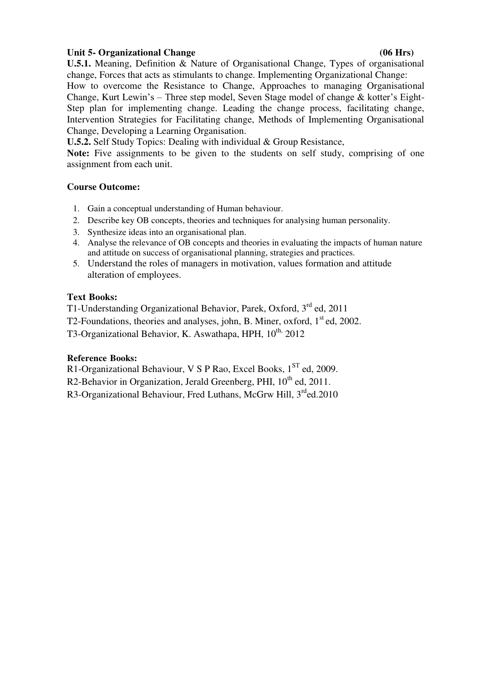# Unit 5- Organizational Change **(06 Hrs) (06 Hrs)**

**U.5.1.** Meaning, Definition & Nature of Organisational Change, Types of organisational change, Forces that acts as stimulants to change. Implementing Organizational Change:

How to overcome the Resistance to Change, Approaches to managing Organisational Change, Kurt Lewin's – Three step model, Seven Stage model of change & kotter's Eight-Step plan for implementing change. Leading the change process, facilitating change, Intervention Strategies for Facilitating change, Methods of Implementing Organisational Change, Developing a Learning Organisation.

**U.5.2.** Self Study Topics: Dealing with individual & Group Resistance,

**Note:** Five assignments to be given to the students on self study, comprising of one assignment from each unit.

# **Course Outcome:**

- 1. Gain a conceptual understanding of Human behaviour.
- 2. Describe key OB concepts, theories and techniques for analysing human personality.
- 3. Synthesize ideas into an organisational plan.
- 4. Analyse the relevance of OB concepts and theories in evaluating the impacts of human nature and attitude on success of organisational planning, strategies and practices.
- 5. Understand the roles of managers in motivation, values formation and attitude alteration of employees.

# **Text Books:**

T1-Understanding Organizational Behavior, Parek, Oxford, 3rd ed, 2011 T2-Foundations, theories and analyses, john, B. Miner, oxford, 1<sup>st</sup> ed, 2002.

T3-Organizational Behavior, K. Aswathapa, HPH,  $10^{th}$ , 2012

# **Reference Books:**

R1-Organizational Behaviour, V S P Rao, Excel Books,  $1<sup>ST</sup>$  ed, 2009.

R2-Behavior in Organization, Jerald Greenberg, PHI,  $10^{th}$  ed, 2011.

R3-Organizational Behaviour, Fred Luthans, McGrw Hill,  $3^{rd}$ ed.2010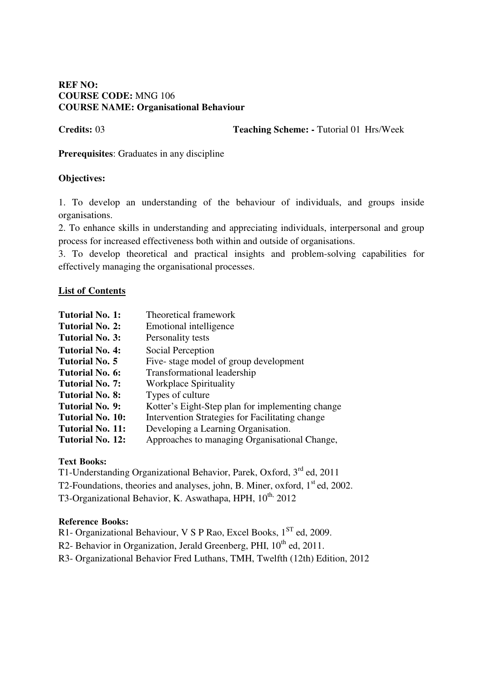# **REF NO: COURSE CODE:** MNG 106 **COURSE NAME: Organisational Behaviour**

**Credits: 03 Teaching Scheme: - Tutorial 01 Hrs/Week** 

**Prerequisites**: Graduates in any discipline

# **Objectives:**

1. To develop an understanding of the behaviour of individuals, and groups inside organisations.

2. To enhance skills in understanding and appreciating individuals, interpersonal and group process for increased effectiveness both within and outside of organisations.

3. To develop theoretical and practical insights and problem-solving capabilities for effectively managing the organisational processes.

# **List of Contents**

| Tutorial No. 1:         | Theoretical framework                            |
|-------------------------|--------------------------------------------------|
| Tutorial No. 2:         | Emotional intelligence                           |
| <b>Tutorial No. 3:</b>  | Personality tests                                |
| Tutorial No. 4:         | Social Perception                                |
| <b>Tutorial No. 5</b>   | Five-stage model of group development            |
| <b>Tutorial No. 6:</b>  | Transformational leadership                      |
| <b>Tutorial No. 7:</b>  | <b>Workplace Spirituality</b>                    |
| <b>Tutorial No. 8:</b>  | Types of culture                                 |
| Tutorial No. 9:         | Kotter's Eight-Step plan for implementing change |
| <b>Tutorial No. 10:</b> | Intervention Strategies for Facilitating change  |
| <b>Tutorial No. 11:</b> | Developing a Learning Organisation.              |
| Tutorial No. 12:        | Approaches to managing Organisational Change,    |

# **Text Books:**

T1-Understanding Organizational Behavior, Parek, Oxford, 3<sup>rd</sup> ed, 2011

T2-Foundations, theories and analyses, john, B. Miner, oxford,  $1<sup>st</sup>$  ed, 2002.

T3-Organizational Behavior, K. Aswathapa, HPH,  $10^{th}$ , 2012

# **Reference Books:**

R1- Organizational Behaviour, V S P Rao, Excel Books, 1<sup>ST</sup> ed, 2009.

R2- Behavior in Organization, Jerald Greenberg, PHI,  $10^{th}$  ed, 2011.

R3- Organizational Behavior Fred Luthans, TMH, Twelfth (12th) Edition, 2012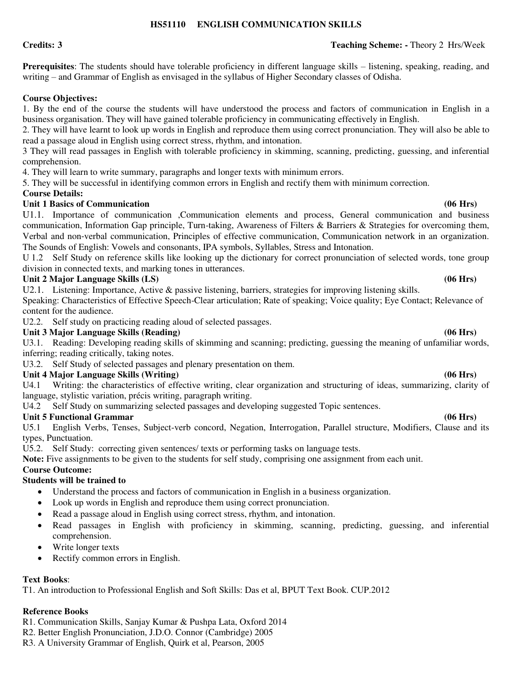### **HS51110 ENGLISH COMMUNICATION SKILLS**

**Prerequisites**: The students should have tolerable proficiency in different language skills – listening, speaking, reading, and writing – and Grammar of English as envisaged in the syllabus of Higher Secondary classes of Odisha.

### **Course Objectives:**

1. By the end of the course the students will have understood the process and factors of communication in English in a business organisation. They will have gained tolerable proficiency in communicating effectively in English.

2. They will have learnt to look up words in English and reproduce them using correct pronunciation. They will also be able to read a passage aloud in English using correct stress, rhythm, and intonation.

3 They will read passages in English with tolerable proficiency in skimming, scanning, predicting, guessing, and inferential comprehension.

4. They will learn to write summary, paragraphs and longer texts with minimum errors.

5. They will be successful in identifying common errors in English and rectify them with minimum correction.

### **Course Details:**

# **Unit 1 Basics of Communication (06 Hrs)**

U1.1. Importance of communication ,Communication elements and process, General communication and business communication, Information Gap principle, Turn-taking, Awareness of Filters & Barriers & Strategies for overcoming them, Verbal and non‐verbal communication, Principles of effective communication, Communication network in an organization. The Sounds of English: Vowels and consonants, IPA symbols, Syllables, Stress and Intonation.

U 1.2 Self Study on reference skills like looking up the dictionary for correct pronunciation of selected words, tone group division in connected texts, and marking tones in utterances.

### Unit 2 Major Language Skills (LS) (06 Hrs)

U2.1. Listening: Importance, Active & passive listening, barriers, strategies for improving listening skills.

Speaking: Characteristics of Effective Speech-Clear articulation; Rate of speaking; Voice quality; Eye Contact; Relevance of content for the audience.

U2.2. Self study on practicing reading aloud of selected passages.

# **Unit 3 Major Language Skills (Reading) (06 Hrs)**

U3.1. Reading: Developing reading skills of skimming and scanning; predicting, guessing the meaning of unfamiliar words, inferring; reading critically, taking notes.

U3.2. Self Study of selected passages and plenary presentation on them.

# **Unit 4 Major Language Skills (Writing) (06 Hrs)**

U4.1 Writing: the characteristics of effective writing, clear organization and structuring of ideas, summarizing, clarity of language, stylistic variation, précis writing, paragraph writing.

U4.2 Self Study on summarizing selected passages and developing suggested Topic sentences.

# **Unit 5 Functional Grammar (06 Hrs)**

U5.1 English Verbs, Tenses, Subject-verb concord, Negation, Interrogation, Parallel structure, Modifiers, Clause and its types, Punctuation.

U5.2. Self Study: correcting given sentences/ texts or performing tasks on language tests.

**Note:** Five assignments to be given to the students for self study, comprising one assignment from each unit.

#### **Course Outcome:**

### **Students will be trained to**

- Understand the process and factors of communication in English in a business organization.
- Look up words in English and reproduce them using correct pronunciation.
- Read a passage aloud in English using correct stress, rhythm, and intonation.
- Read passages in English with proficiency in skimming, scanning, predicting, guessing, and inferential comprehension.
- Write longer texts
- Rectify common errors in English.

### **Text Books**:

T1. An introduction to Professional English and Soft Skills: Das et al, BPUT Text Book. CUP.2012

- R1. Communication Skills, Sanjay Kumar & Pushpa Lata, Oxford 2014
- R2. Better English Pronunciation, J.D.O. Connor (Cambridge) 2005
- R3. A University Grammar of English, Quirk et al, Pearson, 2005